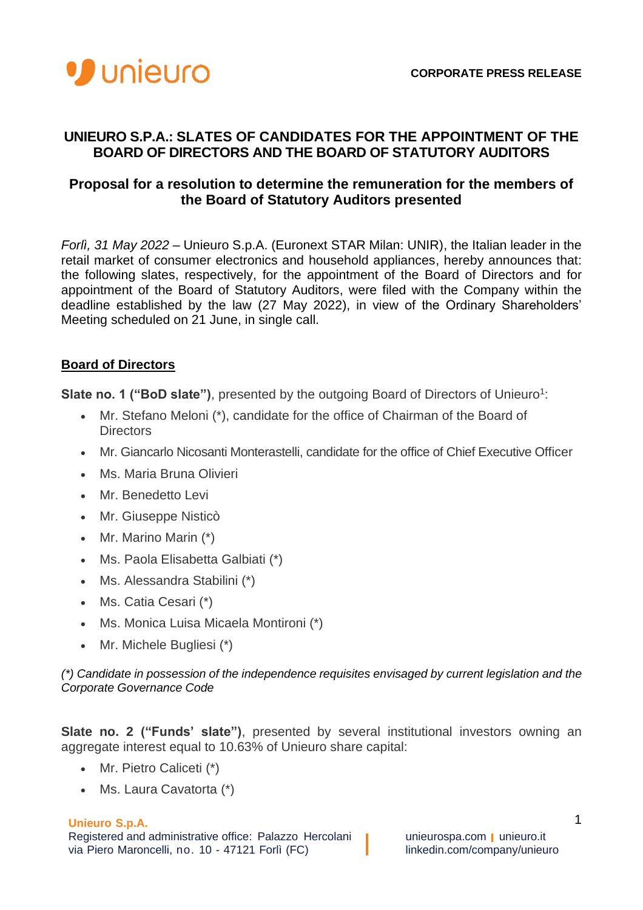

## **UNIEURO S.P.A.: SLATES OF CANDIDATES FOR THE APPOINTMENT OF THE BOARD OF DIRECTORS AND THE BOARD OF STATUTORY AUDITORS**

## **Proposal for a resolution to determine the remuneration for the members of the Board of Statutory Auditors presented**

*Forlì, 31 May 2022* – Unieuro S.p.A. (Euronext STAR Milan: UNIR), the Italian leader in the retail market of consumer electronics and household appliances, hereby announces that: the following slates, respectively, for the appointment of the Board of Directors and for appointment of the Board of Statutory Auditors, were filed with the Company within the deadline established by the law (27 May 2022), in view of the Ordinary Shareholders' Meeting scheduled on 21 June, in single call.

# **Board of Directors**

Slate no. 1 ("BoD slate"), presented by the outgoing Board of Directors of Unieuro<sup>1</sup>:

- Mr. Stefano Meloni (\*), candidate for the office of Chairman of the Board of **Directors**
- Mr. Giancarlo Nicosanti Monterastelli, candidate for the office of Chief Executive Officer
- Ms. Maria Bruna Olivieri
- Mr. Benedetto Levi
- Mr. Giuseppe Nisticò
- Mr. Marino Marin (\*)
- Ms. Paola Elisabetta Galbiati (\*)
- Ms. Alessandra Stabilini (\*)
- Ms. Catia Cesari (\*)
- Ms. Monica Luisa Micaela Montironi (\*)
- Mr. Michele Bugliesi (\*)

*(\*) Candidate in possession of the independence requisites envisaged by current legislation and the Corporate Governance Code*

**Slate no. 2 ("Funds' slate")**, presented by several institutional investors owning an aggregate interest equal to 10.63% of Unieuro share capital:

- Mr. Pietro Caliceti (\*)
- Ms. Laura Cavatorta (\*)

#### **Unieuro S.p.A.**

Registered and administrative office: Palazzo Hercolani **unieurospa.com unieuro.it** via Piero Maroncelli, no. 10 - 47121 Forlì (FC) linkedin.com/company/unieuro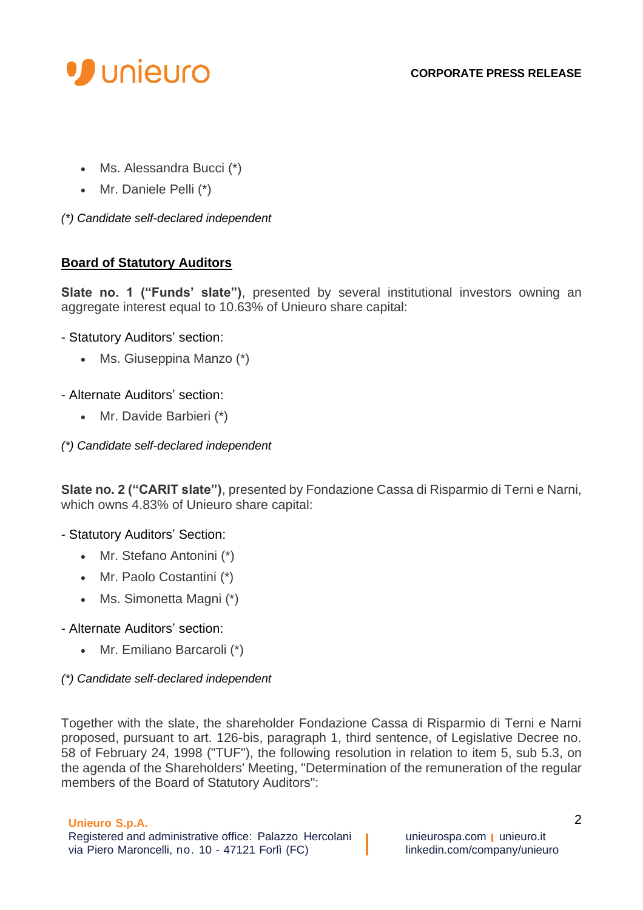

- Ms. Alessandra Bucci (\*)
- Mr. Daniele Pelli (\*)

*(\*) Candidate self-declared independent*

# **Board of Statutory Auditors**

**Slate no. 1 ("Funds' slate")**, presented by several institutional investors owning an aggregate interest equal to 10.63% of Unieuro share capital:

- Statutory Auditors' section:
	- Ms. Giuseppina Manzo (\*)

## - Alternate Auditors' section:

- Mr. Davide Barbieri (\*)
- *(\*) Candidate self-declared independent*

**Slate no. 2 ("CARIT slate")**, presented by Fondazione Cassa di Risparmio di Terni e Narni, which owns 4.83% of Unieuro share capital:

## - Statutory Auditors' Section:

- Mr. Stefano Antonini (\*)
- Mr. Paolo Costantini (\*)
- Ms. Simonetta Magni (\*)
- Alternate Auditors' section:
	- Mr. Emiliano Barcaroli (\*)

## *(\*) Candidate self-declared independent*

Together with the slate, the shareholder Fondazione Cassa di Risparmio di Terni e Narni proposed, pursuant to art. 126-bis, paragraph 1, third sentence, of Legislative Decree no. 58 of February 24, 1998 ("TUF"), the following resolution in relation to item 5, sub 5.3, on the agenda of the Shareholders' Meeting, "Determination of the remuneration of the regular members of the Board of Statutory Auditors":